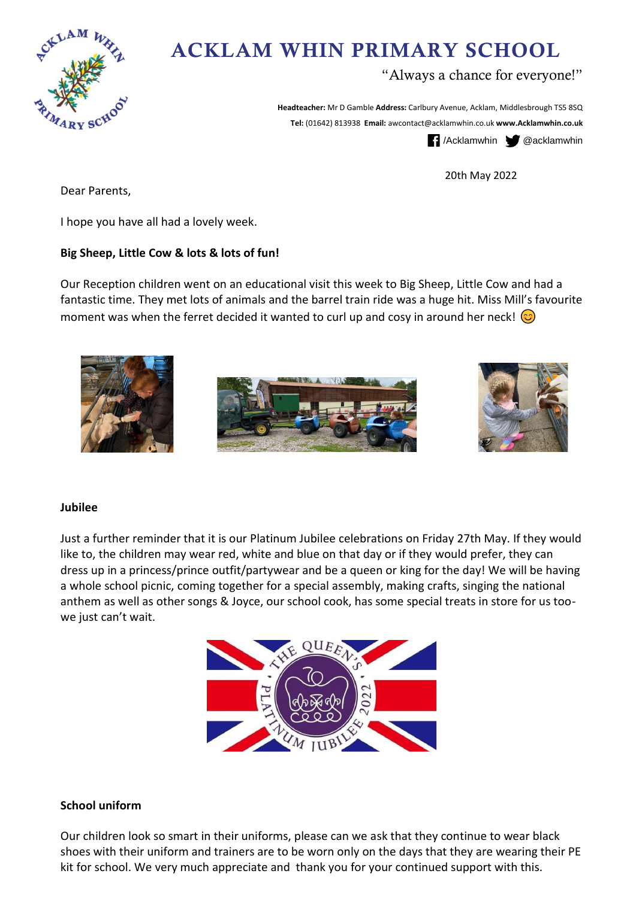

# ACKLAM WHIN PRIMARY SCHOOL

# "Always a chance for everyone!"

**Headteacher:** Mr D Gamble **Address:** Carlbury Avenue, Acklam, Middlesbrough TS5 8SQ **Tel:** (01642) 813938 **Email:** awcontact@acklamwhin.co.uk **www.Acklamwhin.co.uk**

/Acklamwhin @acklamwhin

20th May 2022

Dear Parents,

I hope you have all had a lovely week.

## **Big Sheep, Little Cow & lots & lots of fun!**

Our Reception children went on an educational visit this week to Big Sheep, Little Cow and had a fantastic time. They met lots of animals and the barrel train ride was a huge hit. Miss Mill's favourite moment was when the ferret decided it wanted to curl up and cosy in around her neck!  $\circled{c}$ 



#### **Jubilee**

Just a further reminder that it is our Platinum Jubilee celebrations on Friday 27th May. If they would like to, the children may wear red, white and blue on that day or if they would prefer, they can dress up in a princess/prince outfit/partywear and be a queen or king for the day! We will be having a whole school picnic, coming together for a special assembly, making crafts, singing the national anthem as well as other songs & Joyce, our school cook, has some special treats in store for us toowe just can't wait.



## **School uniform**

Our children look so smart in their uniforms, please can we ask that they continue to wear black shoes with their uniform and trainers are to be worn only on the days that they are wearing their PE kit for school. We very much appreciate and thank you for your continued support with this.